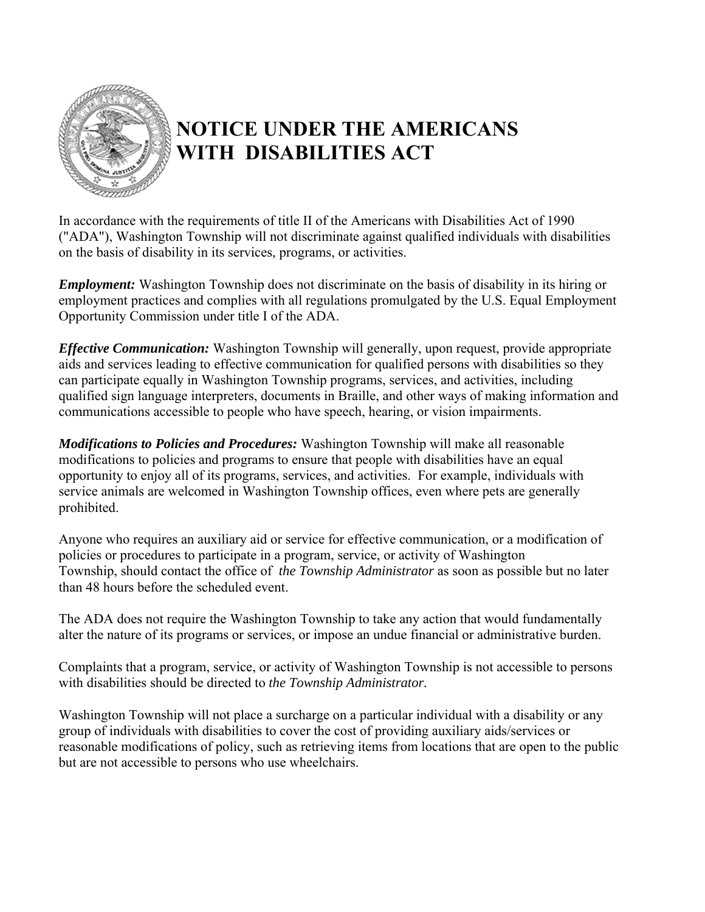

## **NOTICE UNDER THE AMERICANS WITH DISABILITIES ACT**

In accordance with the requirements of title II of the Americans with Disabilities Act of 1990 ("ADA"), Washington Township will not discriminate against qualified individuals with disabilities on the basis of disability in its services, programs, or activities.

*Employment:* Washington Township does not discriminate on the basis of disability in its hiring or employment practices and complies with all regulations promulgated by the U.S. Equal Employment Opportunity Commission under title I of the ADA.

*Effective Communication:* Washington Township will generally, upon request, provide appropriate aids and services leading to effective communication for qualified persons with disabilities so they can participate equally in Washington Township programs, services, and activities, including qualified sign language interpreters, documents in Braille, and other ways of making information and communications accessible to people who have speech, hearing, or vision impairments.

*Modifications to Policies and Procedures:* Washington Township will make all reasonable modifications to policies and programs to ensure that people with disabilities have an equal opportunity to enjoy all of its programs, services, and activities. For example, individuals with service animals are welcomed in Washington Township offices, even where pets are generally prohibited.

Anyone who requires an auxiliary aid or service for effective communication, or a modification of policies or procedures to participate in a program, service, or activity of Washington Township, should contact the office of *the Township Administrator* as soon as possible but no later than 48 hours before the scheduled event.

The ADA does not require the Washington Township to take any action that would fundamentally alter the nature of its programs or services, or impose an undue financial or administrative burden.

Complaints that a program, service, or activity of Washington Township is not accessible to persons with disabilities should be directed to *the Township Administrator.* 

Washington Township will not place a surcharge on a particular individual with a disability or any group of individuals with disabilities to cover the cost of providing auxiliary aids/services or reasonable modifications of policy, such as retrieving items from locations that are open to the public but are not accessible to persons who use wheelchairs.